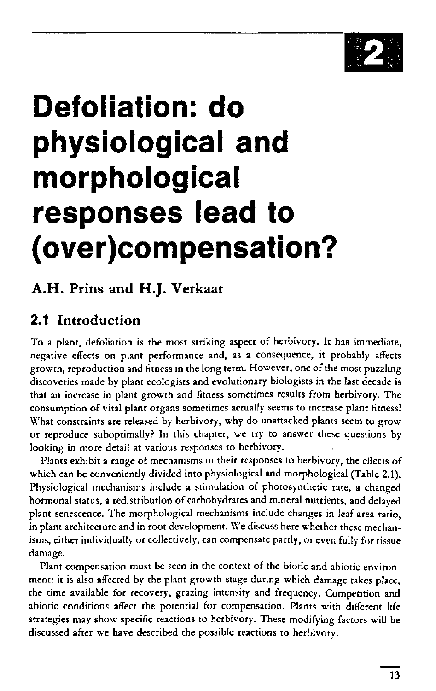

# **Defoliation: do physiological and morphological responses lead to (over)compensation?**

# A.H. Prins and H.J. Verkaar

# 2.1 Introduction

To a plant, defoliation is the most striking aspect of herbivory. It has immediate, negative effects on plant performance and, as a consequence, it probably affects growth, reproduction and fitness in the long term. However, one of the most puzzling discoveries made by plant ecologists and evolutionary biologists in the last decade is that an increase in plant growth and fitness sometimes results from herbivory. The consumption of vital plant organs sometimes actually seems to increase plant fitness! What constraints are released by herbivory, why do unattacked plants seem to grow or reproduce suboptimally? In this chapter, we try to answer these questions by looking in more detail at various responses to herbivory.

Plants exhibit a range of mechanisms in their responses to herbivory, the effects of which can be conveniently divided into physiological and morphological (Table 2.1). Physiological mechanisms include a stimulation of photosynthetic rate, a changed hormonal status, a redistribution of carbohydrates and mineral nutrients, and delayed plant senescence. The morphological mechanisms include changes in leaf area ratio, in plant architecture and in root development. We discuss here whether these mechanisms, either individually or collectively, can compensate partly, or even fully for tissue damage.

Plant compensation must be seen in the context of the biotic and abiotic environment: it is also affected by the plant growth stage during which damage takes place, the time available for recovery, grazing intensity and frequency. Competition and abiotic conditions affect the potential for compensation. Plants with different life strategies may show specific reactions to herbivory. These modifying factors will be discussed after we have described the possible reactions to herbivory.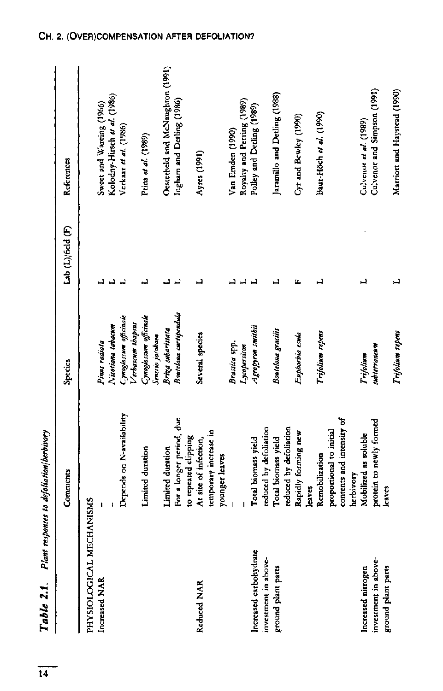| Plant<br>Table 2.1.      | responses to defoliation/berbivory |                                            |                   |                                  |
|--------------------------|------------------------------------|--------------------------------------------|-------------------|----------------------------------|
|                          | Comments                           | Species                                    | Lab (L)/field (F) | References                       |
| PHYSIOLOGICAL MECHANISMS |                                    |                                            |                   |                                  |
| Increased NAR            |                                    | Pinus radiata                              |                   | Sweet and Wareing (1966)         |
|                          |                                    | Nicotiana tabacum                          |                   | Kolodny-Hirsch et al. (1986)     |
|                          | Depends on N-availability          | Cynoglossum officinale                     |                   | Verkaar et al. (1986)            |
|                          |                                    | Verbascum thapsus                          |                   |                                  |
|                          | Limited duration                   | Cynoglossum officinale<br>Senerio jarobaea | یہ                | Prins et al. (1989)              |
|                          | Limited duration                   | Briza subaristata                          |                   | Oesterheld and McNaughton (1991) |
|                          | For a longer period, due           | Bouteloua curtipendula                     |                   | Ingham and Detling (1986)        |
|                          | to repeated clipping               |                                            |                   |                                  |
| Reduced NAR              | At site of infection,              | Several species                            | 니                 | Ayres (1991)                     |
|                          | temporary increase in              |                                            |                   |                                  |
|                          | younger leaves                     |                                            |                   |                                  |
|                          |                                    | Brassica spp.                              |                   | Van Emden (1990)                 |
|                          |                                    | Iycopersicon                               |                   | Royalty and Perring (1989)       |
| Increased carbohydrate   | Total biomass yield                | Agropyron smithii                          |                   | Polley and Detling (1989)        |
| investment in above-     | reduced by defoliation             |                                            |                   |                                  |
| ground plant parts       | Total biomass yield                | Bouteloua gracilis                         | ᆜ                 | Jaramillo and Detling (1988)     |
|                          | reduced by defoliation             |                                            |                   |                                  |
|                          | Rapidly forming new                | Euphorbia esula                            | щ                 | Cyr and Bewley (1990)            |
|                          | lea ves                            |                                            |                   |                                  |
|                          | Remobilization                     | Trifolium repens                           | ڊ                 | Baur-Höch et al. (1990)          |
|                          | proportional to initial            |                                            |                   |                                  |
|                          | contents and intensity of          |                                            |                   |                                  |
|                          | herbivory                          |                                            |                   |                                  |
| Increased nitrogen       | Mobilized as soluble               | Trifolium                                  | ᆜ                 | Culvenor et al. (1989)           |
| investment in above-     | protein to newly formed            | subterraneum                               |                   | Culvenor and Simpson (1991)      |
| ground plant parts       | <b>leaves</b>                      |                                            |                   |                                  |
|                          |                                    | I rifolium repens                          | ب                 | Marriort and Haystead (1990)     |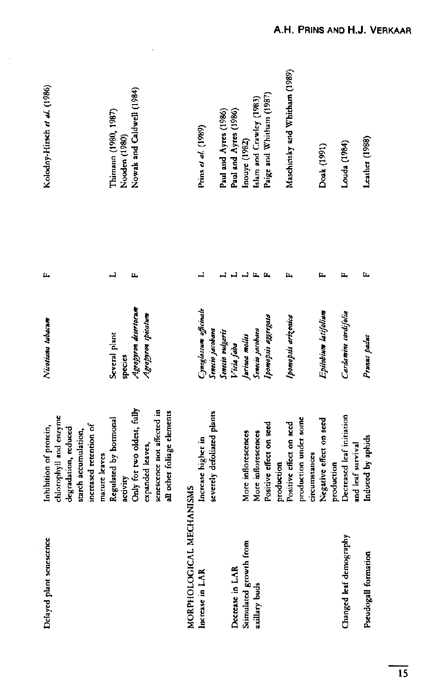| Delayed plant senescence | chlorophyll and enzyme<br>increased retention of<br>Inhibition of protein.<br>degradation, reduced<br>starch accumulation,<br>mature leaves | Nicotiana tabacum        | íz,          | Kolodny-Hirsch et al. (1986)          |
|--------------------------|---------------------------------------------------------------------------------------------------------------------------------------------|--------------------------|--------------|---------------------------------------|
|                          | Regulated by hormonal<br>activity                                                                                                           | Several plant<br>species | L            | Thimann (1980, 1987)<br>Nooden (1980) |
|                          | Only for two oldest, fully                                                                                                                  | Agropyron desertorum     | щ            | Nowak and Caldwell (1984)             |
|                          | senescence not affected in<br>expanded leaves,                                                                                              | Agropyron spicatum       |              |                                       |
|                          | all other foliage elements                                                                                                                  |                          |              |                                       |
| MORPHOLOGICAL MECHANISMS |                                                                                                                                             |                          |              |                                       |
| Increase in LAR          | Increase higher in                                                                                                                          | Cynoglossum officinale   |              | Prins et al. (1989)                   |
|                          | severely defoliated plants                                                                                                                  | Senecio jacobaea         |              |                                       |
|                          |                                                                                                                                             | Senecio vulgaris         |              | Paul and Ayres (1986)                 |
| Decrease in LAR          |                                                                                                                                             | Vicia Jaba               |              | Paul and Ayres (1986)                 |
| Stimulated growth from   | More inflorescences                                                                                                                         | jurinea mollis           |              | Inouye (1982)                         |
| axillary buds            | More inflorescences                                                                                                                         | Senecio jacobaea         | $\mathbf{u}$ | Islam and Crawley (1983)              |
|                          | Positive effect on seed                                                                                                                     | Ibomopsis aggregata      |              | Paige and Whitham (1987)              |
|                          | production                                                                                                                                  |                          |              |                                       |
|                          | Positive effect on seed                                                                                                                     | Ipomopsis arizonica      | щ            | Maschinsky and Whitham (1989)         |
|                          | production under some                                                                                                                       |                          |              |                                       |
|                          | circumstances                                                                                                                               |                          |              |                                       |
|                          | Negative effect on seed                                                                                                                     | Epilobium latifolium     | щ            | Doak (1991)                           |
|                          | production                                                                                                                                  |                          |              |                                       |
| Changed leaf demography  | Decreased leaf initiation                                                                                                                   | Cardamine cordifolia     | Ľ,           | Louda (1984)                          |
|                          | and leaf survival                                                                                                                           |                          |              |                                       |
| Pseudogall formation     | Induced by aphids                                                                                                                           | Prunus padus             | Ľ.           | Leather (1988)                        |
|                          |                                                                                                                                             |                          |              |                                       |

 $\hat{\boldsymbol{\cdot}$ 

 $\mathcal{L}_{\rm{max}}$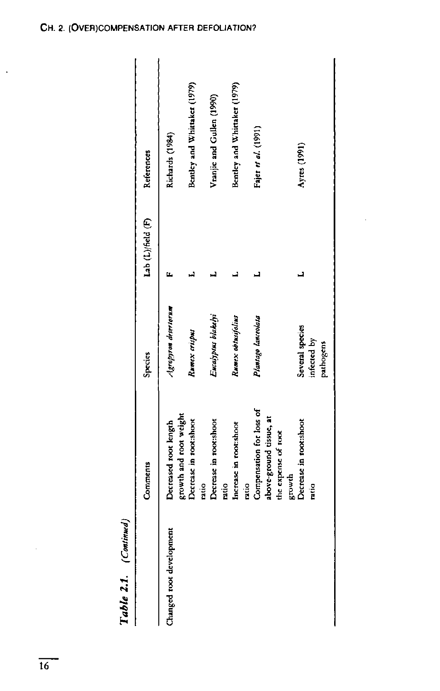Table 2.1. (Continued)

|                         | Comments                                                         | Species                                     | Lab (L)/field (F) | References                   |
|-------------------------|------------------------------------------------------------------|---------------------------------------------|-------------------|------------------------------|
| hanged root development | growth and root weight<br>Decreased root length                  | Agropyron desertorum                        |                   | Richards (1984)              |
|                         | Decrease in root:shoot                                           | Rumex crispus                               |                   | Bentley and Whittaker (1979) |
|                         | Decrease in root:shoot<br>ratio<br>ratio                         | Eucalyptus blakelyi                         |                   | Vranjic and Gullen (1990)    |
|                         | Increase in root:shoot<br>ratio                                  | Rumex optusifolius                          |                   | Bentley and Whittaker (1979) |
|                         | Compensation for loss of<br>above-ground tissue, at              | Plantago lanceolata                         |                   | Fajer <i>et al.</i> (1991)   |
|                         | Decrease in root:shoot<br>the expense of root<br>growth<br>ratio | Several species<br>infected by<br>pathogens |                   | Ayres (1991)                 |
|                         |                                                                  |                                             |                   |                              |

 $\ddot{\phantom{0}}$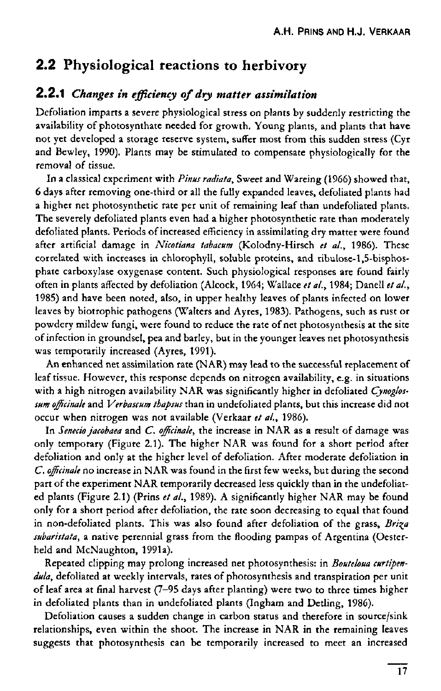## 2.2 Physiological reactions to herbivory

#### 2.2. 1 *Changes in efficiency of dry matter assimilation*

Defoliation imparts a severe physiological stress on plants by suddenly restricting the availability of photosynthate needed for growth. Young plants, and plants that have not yet developed a storage reserve system, suffer most from this sudden stress (Cyr and Bewley, 1990). Plants may be stimulated to compensate physiologically for the removal of tissue.

In a classical experiment with *Pinus radiata,* Sweet and Wareing (1966) showed that, 6 days after removing one-third or all the fully expanded leaves, defoliated plants had a higher net photosynthetic rate per unit of remaining leaf than undefoliated plants. The severely defoliated plants even had a higher photosynthetic rate than moderately defoliated plants. Periods of increased efficiency in assimilating dry matter were found after artificial damage in *Nicotiana tabacum* (Kolodny-Hirsch *et ai,* 1986). These correlated with increases in chlorophyll, soluble proteins, and ribulose-l,5-bisphosphate carboxylase oxygenase content. Such physiological responses are found fairly often in plants affected by defoliation (Alcock, 1964; Wallace *et al.,* 1984; Danell *et ai,*  1985) and have been noted, also, in upper healthy leaves of plants infected on lower leaves by biotrophic pathogens (Walters and Ay res, 1983). Pathogens, such as rust or powdery mildew fungi, were found to reduce the rate of net photosynthesis at the site of infection in groundsel, pea and barley, but in the younger leaves net photosynthesis was temporarily increased (Ayres, 1991).

An enhanced net assimilation rate (NAR) may lead to the successful replacement of leaf tissue. However, this response depends on nitrogen availability, e.g. in situations with a high nitrogen availability NAR was significantly higher in defoliated *Cynoglossum officinale* and *Verbascum thapsus* than in undefoliated plants, but this increase did not occur when nitrogen was not available (Verkaar *et al.,* 1986).

In *Senecio jacobaea* and *C. officinale,* the increase in NAR as a result of damage was only temporary (Figure 2.1). The higher NAR was found for a short period after defoliation and only at the higher level of defoliation. After moderate defoliation in *C. officinale* no increase in NAR was found in the first few weeks, but during the second part of the experiment NAR temporarily decreased less quickly than in the undefoliated plants (Figure 2.1) (Prins *et al.,* 1989). A significantly higher NAR may be found only for a short period after defoliation, the rate soon decreasing to equal that found in non-defoliated plants. This was also found after defoliation of the grass, Briza *subaristata,* a native perennial grass from the flooding pampas of Argentina (Oesterheld and McNaughton, 1991a).

Repeated clipping may prolong increased net photosynthesis: in *Bouteloua curtipendula,* defoliated at weekly intervals, rates of photosynthesis and transpiration per unit of leaf area at final harvest (7-95 days after planting) were two to three times higher in defoliated plants than in undefoliated plants (Ingham and Detling, 1986).

Defoliation causes a sudden change in carbon status and therefore in source/sink relationships, even within the shoot. The increase in NAR in the remaining leaves suggests that photosynthesis can be temporarily increased to meet an increased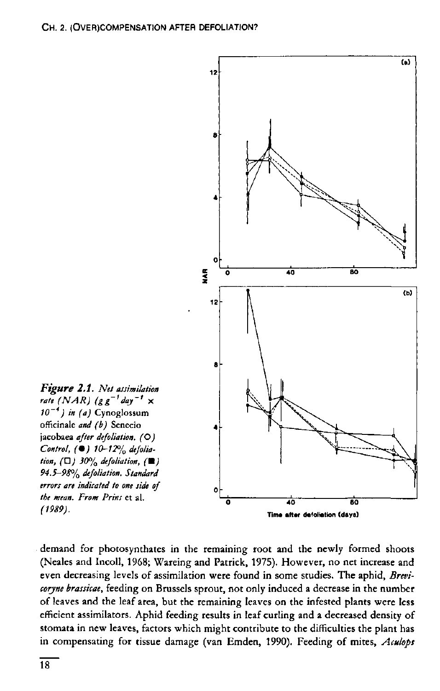

demand for photosynthates in the remaining root and the newly formed shoots (Neales and Incoll, 1968; Wareing and Patrick, 1975). However, no net increase and even decreasing levels of assimilation were found in some studies. The aphid, *Brevicoryne brassicae,* feeding on Brussels sprout, not only induced a decrease in the number of leaves and the leaf area, but the remaining leaves on the infested plants were less efficient assimilators. Aphid feeding results in leaf curling and a decreased density of stomata in new leaves, factors which might contribute to the difficulties the plant has in compensating for tissue damage (van Emden, 1990). Feeding of mites, *Aculops*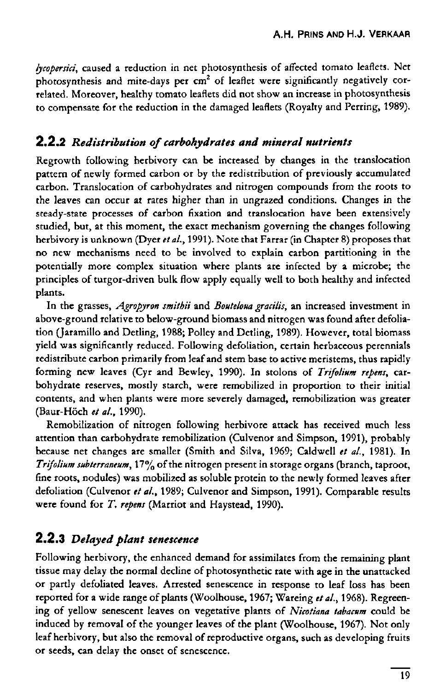*lycopersici,* caused a reduction in net photosynthesis of affected tomato leaflets. Net photosynthesis and mite-days per cm<sup>2</sup> of leaflet were significantly negatively related. Moreover, healthy tomato leaflets did not show an increase in photosynthesis to compensate for the reduction in the damaged leaflets (Royalty and Perring, 1989).

#### 2.2.2 *Redistribution of carbohydrates and mineral nutrients*

Regrowth following herbivory can be increased by changes in the translocation pattern of newly formed carbon or by the redistribution of previously accumulated carbon. Translocation of carbohydrates and nitrogen compounds from the roots to the leaves can occur at rates higher than in ungrazed conditions. Changes in the steady-state processes of carbon fixation and translocation have been extensively studied, but, at this moment, the exact mechanism governing the changes following herbivory is unknown (Dyer *eta/.,* 1991). Note that Farrar (in Chapter 8) proposes that no new mechanisms need to be involved to explain carbon partitioning in the potentially more complex situation where plants are infected by a microbe; the principles of turgor-driven bulk flow apply equally well to both healthy and infected plants.

In the grasses, *Agropyron smithii* and *Bouteloua gracilis*, an increased investment in above-ground relative to below-ground biomass and nitrogen was found after defoliation (Jaramillo and Detling, 1988; Polley and Detling, 1989). However, total biomass yield was significantly reduced. Following defoliation, certain herbaceous perennials redistribute carbon primarily from leaf and stem base to active meristems, thus rapidly forming new leaves (Cyr and Bewley, 1990). In stolons of *Trifolium repens,* carbohydrate reserves, mostly starch, were remobilized in proportion to their initial contents, and when plants were more severely damaged, remobilization was greater (Baur-Höch *et al.,* 1990).

Remobilization of nitrogen following herbivore attack has received much less attention than carbohydrate remobilization (Culvenor and Simpson, 1991), probably because net changes are smaller (Smith and Silva, 1969; Caldwell *et al.,* 1981). In *Trifolium subterraneum,* 17% of the nitrogen present in storage organs (branch, taproot, fine roots, nodules) was mobilized as soluble protein to the newly formed leaves after defoliation (Culvenor *et al.,* 1989; Culvenor and Simpson, 1991). Comparable results were found for *T. repens* (Marriot and Haystead, 1990).

#### 2.2.3 *Delayed plant senescence*

Following herbivory, the enhanced demand for assimilates from the remaining plant tissue may delay the normal decline of photosynthetic rate with age in the unattacked or partly defoliated leaves. Arrested senescence in response to leaf loss has been reported for a wide range of plants (Woolhouse, 1967; Wareing *etal.,* 1968). Regreening of yellow senescent leaves on vegetative plants of *Nicotiana tabacum* could be induced by removal of the younger leaves of the plant (Woolhouse, 1967). Not only leaf herbivory, but also the removal of reproductive organs, such as developing fruits or seeds, can delay the onset of senescence.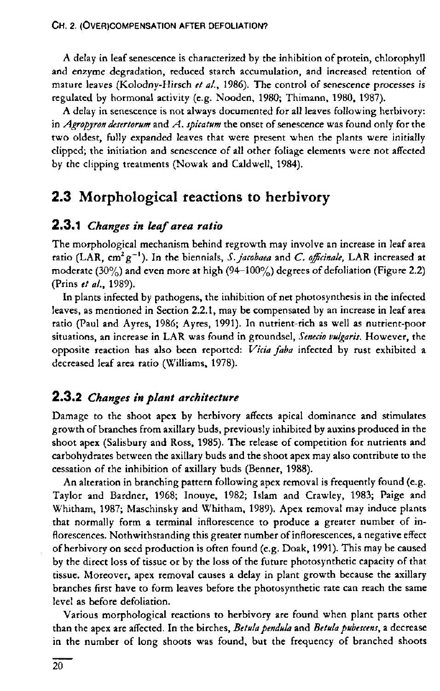A delay in leaf senescence is characterized by the inhibition of protein, chlorophyll and enzyme degradation, reduced starch accumulation, and increased retention of mature leaves (Kolodny-Hirsch *et al.,* 1986). The control of senescence processes is regulated by hormonal activity (e.g. Nooden, 1980; Thimann, 1980, 1987).

A delay in senescence is not always documented for all leaves following herbivory: in *Agropyron desertorum* and *A. spicatum* the onset of senescence was found only for the two oldest, fully expanded leaves that were present when the plants were initially clipped; the initiation and senescence of all other foliage elements were not affected by the clipping treatments (Nowak and Caldwell, 1984).

## 2.3 Morphological reactions to herbivory

#### 2.3.1 *Changes in leaf area ratio*

The morphological mechanism behind regrowth may involve an increase in leaf area ratio (LAR, cm<sup>2</sup>g<sup>-1</sup>). In the biennials, S. *jacobaea* and C. officinale, LAR increa moderate (30%) and even more at high (94-100%) degrees of defoliation (Figure 2.2) (Prins *et al.,* 1989).

In plants infected by pathogens, the inhibition of net photosynthesis in the infected leaves, as mentioned in Section 2.2.1, may be compensated by an increase in leaf area ratio (Paul and Ayres, 1986; Ayres, 1991). In nutrient-rich as well as nutrient-poor situations, an increase in LAR was found in groundsel, *Senecio vulgaris.* However, the opposite reaction has also been reported: *Vicia faba* infected by rust exhibited a decreased leaf area ratio (Williams, 1978).

#### 2.3.2 *Changes in plant architecture*

Damage to the shoot apex by herbivory affects apical dominance and stimulates growth of branches from axillary buds, previously inhibited by auxins produced in the shoot apex (Salisbury and Ross, 1985). The release of competition for nutrients and carbohydrates between the axillary buds and the shoot apex may also contribute to the cessation of the inhibition of axillary buds (Benner, 1988).

An alteration in branching pattern following apex removal is frequently found (e.g. Taylor and Bardner, 1968; Inouye, 1982; Islam and Crawley, 1983; Paige and Whitham, 1987; Maschinsky and Whitham, 1989). Apex removal may induce plants that normally form a terminal inflorescence to produce a greater number of inflorescences. Nothwithstanding this greater number of inflorescences, a negative effect of herbivory on seed production is often found (e.g. Doak, 1991). This may be caused by the direct loss of tissue or by the loss of the future photosynthetic capacity of that tissue. Moreover, apex removal causes a delay in plant growth because the axillary branches first have to form leaves before the photosynthetic rate can reach the same level as before defoliation.

Various morphological reactions to herbivory are found when plant parts other than the apex are affected. In the birches, *Betula pendula* and *Betulapubescens,* a decrease in the number of long shoots was found, but the frequency of branched shoots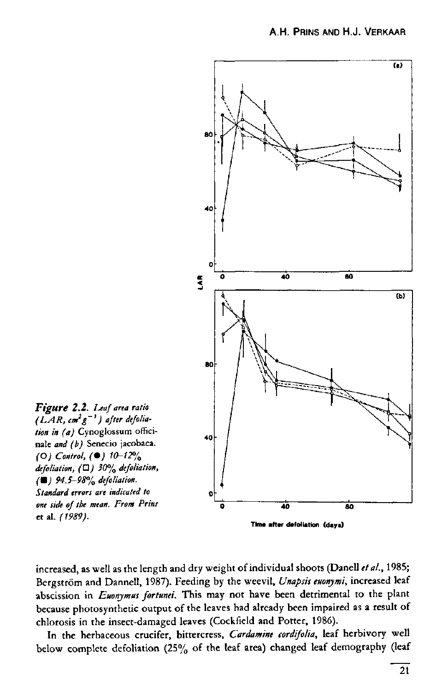

increased, as well as the length and dry weight of individual shoots (Danell *et ai,* 1985; Bergström and Dannell, 1987). Feeding by the weevil, *Unapsis euonymi,* increased leaf abscission in *Euonymus fortunei.* This may not have been detrimental to the plant because photosynthetic output of the leaves had already been impaired as a result of chlorosis in the insect-damaged leaves (Cockfield and Potter, 1986).

In the herbaceous crucifer, bittercress, *Cardamine cordifolia,* leaf herbivory well below complete defoliation (25% of the leaf area) changed leaf demography (leaf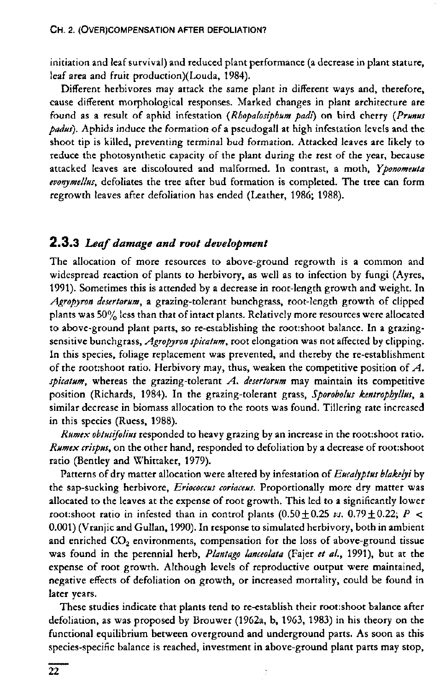initiation and leaf survival) and reduced plant performance (a decrease in plant stature, leaf area and fruit production)(Louda, 1984).

Different herbivores may attack the same plant in different ways and, therefore, cause different morphological responses. Marked changes in plant architecture are found as a result of aphid infestation *{Rhopalosiphum padi)* on bird cherry *{Prunus padus).* Aphids induce the formation of a pseudogall at high infestation levels and the shoot tip is killed, preventing terminal bud formation. Attacked leaves are likely to reduce the photosynthetic capacity of the plant during the rest of the year, because attacked leaves are discoloured and malformed. In contrast, a moth, *Yponomeuta evonymellus,* defoliates the tree after bud formation is completed. The tree can form regrowth leaves after defoliation has ended (Leather, 1986; 1988).

#### 2.3. 3 *Leaf damage and root development*

The allocation of more resources to above-ground regrowth is a common and widespread reaction of plants to herbivory, as well as to infection by fungi (Ayres, 1991). Sometimes this is attended by a decrease in root-length growth and weight. In *Agropyron desertorum,* a grazing-tolerant bunchgrass, root-length growth of clipped plants was 50% less than that of intact plants. Relatively more resources were allocated to above-ground plant parts, so re-establishing the root:shoot balance. In a grazingsensitive bunchgrass, *Agropyron spicatum,* root elongation was not affected by clipping. In this species, foliage replacement was prevented, and thereby the re-establishment of the root:shoot ratio. Herbivory may, thus, weaken the competitive position of *A. spicatum,* whereas the grazing-tolerant *A. desertorum* may maintain its competitive position (Richards, 1984). In the grazing-tolerant grass, *Sporobolus kentrophyllus,* a similar decrease in biomass allocation to the roots was found. Tillering rate increased in this species (Ruess, 1988).

*Rumex obtusifolius* responded to heavy grazing by an increase in the root:shoot ratio. *Rumex crispus,* on the other hand, responded to defoliation by a decrease of root:shoot ratio (Bentley and Whittaker, 1979).

Patterns of dry matter allocation were altered by infestation of *Eucalyptus blakelyi* by the sap-sucking herbivore, *Eriococcus coriaceus.* Proportionally more dry matter was allocated to the leaves at the expense of root growth. This led to a significantly lower root:shoot ratio in infested than in control plants  $(0.50 \pm 0.25 \nu s. 0.79 \pm 0.22; P <$ 0.001) (Vranjic and Gullan, 1990). In response to simulated herbivory, both in ambient and enriched  $CO<sub>2</sub>$  environments, compensation for the loss of above-ground tissue was found in the perennial herb, *Plantago lanceolata* (Fajer *et al.,* 1991), but at the expense of root growth. Although levels of reproductive output were maintained, negative effects of defoliation on growth, or increased mortality, could be found in later years.

These studies indicate that plants tend to re-establish their root:shoot balance after defoliation, as was proposed by Brouwer (1962a, b, 1963, 1983) in his theory on the functional equilibrium between overground and underground parts. As soon as this species-specific balance is reached, investment in above-ground plant parts may stop,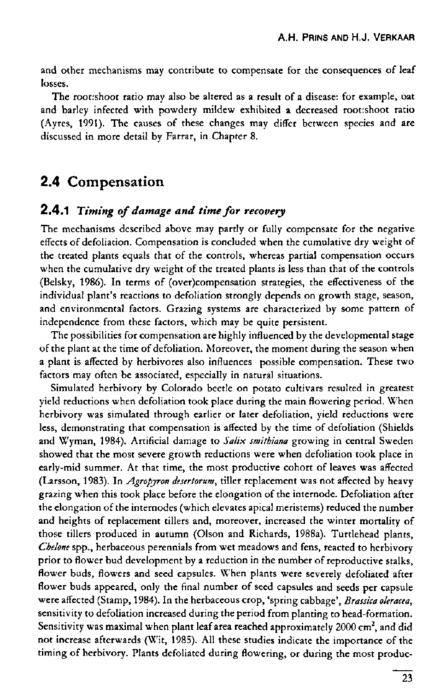and other mechanisms may contribute to compensate for the consequences of leaf losses.

The root:shoot ratio may also be altered as a result of a disease: for example, oat and barley infected with powdery mildew exhibited a decreased root:shoot ratio (Ayres, 1991). The causes of these changes may differ between species and are discussed in more detail by Farrar, in Chapter 8.

## 2.4 Compensation

#### 2.4. 1 *Timing of damage and time for recovery*

The mechanisms described above may partly or fully compensate for the negative effects of defoliation. Compensation is concluded when the cumulative dry weight of the treated plants equals that of the controls, whereas partial compensation occurs when the cumulative dry weight of the treated plants is less than that of the controls (Belsky, 1986). In terms of (over)compensation strategies, the effectiveness of the individual plant's reactions to defoliation strongly depends on growth stage, season, and environmental factors. Grazing systems are characterized by some pattern of independence from these factors, which may be quite persistent.

The possibilities for compensation are highly influenced by the developmental stage of the plant at the time of defoliation. Moreover, the moment during the season when a plant is affected by herbivores also influences possible compensation. These two factors may often be associated, especially in natural situations.

Simulated herbivory by Colorado beetle on potato cultivars resulted in greatest yield reductions when defoliation took place during the main flowering period. When herbivory was simulated through earlier or later defoliation, yield reductions were less, demonstrating that compensation is affected by the time of defoliation (Shields and Wyman, 1984). Artificial damage to *Salix smithiana* growing in central Sweden showed that the most severe growth reductions were when defoliation took place in early-mid summer. At that time, the most productive cohort of leaves was affected (Larsson, 1983). In *Agropjron desertorum,* tiller replacement was not affected by heavy grazing when this took place before the elongation of the internode. Defoliation after the elongation of the internodes (which elevates apical meristems) reduced the number and heights of replacement tillers and, moreover, increased the winter mortality of those tillers produced in autumn (Olson and Richards, 1988a). Turtlehead plants, *Chelone* spp., herbaceous perennials from wet meadows and fens, reacted to herbivory prior to flower bud development by a reduction in the number of reproductive stalks, flower buds, flowers and seed capsules. When plants were severely defoliated after flower buds appeared, only the final number of seed capsules and seeds per capsule were affected (Stamp, 1984). In the herbaceous crop, 'spring cabbage', *Brassica oleracea,*  sensitivity to defoliation increased during the period from planting to head-formation. Sensitivity was maximal when plant leaf area reached approximately  $2000$  cm<sup>2</sup> s not increase afterwards (Wit, 1985). All these studies indicate the importance of the timing of herbivory. Plants defoliated during flowering, or during the most produc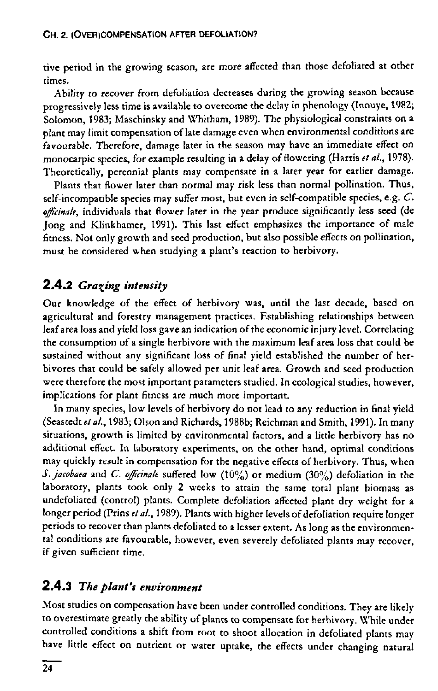tive period in the growing season, are more affected than those defoliated at other times.

Ability to recover from defoliation decreases during the growing season because progressively less time is available to overcome the delay in phenology (Inouye, 1982; Solomon, 1983; Maschinsky and Whitham, 1989). The physiological constraints on a plant may limit compensation of late damage even when environmental conditions are favourable. Therefore, damage later in the season may have an immediate effect on monocarpic species, for example resulting in a delay of flowering (Harris *et al.,* 1978). Theoretically, perennial plants may compensate in a later year for earlier damage.

Plants that flower later than normal may risk less than normal pollination. Thus, self-incompatible species may suffer most, but even in self-compatible species, e.g. *C. officinale,* individuals that flower later in the year produce significantly less seed (de Jong and Klinkhamer, 1991). This last effect emphasizes the importance of male fitness. Not only growth and seed production, but also possible effects on pollination, must be considered when studying a plant's reaction to herbivory.

## **2.4.2** *Gracing intensity*

Our knowledge of the effect of herbivory was, until the last decade, based on agricultural and forestry management practices. Establishing relationships between leaf area loss and yield loss gave an indication of the economic injury level. Correlating the consumption of a single herbivore with the maximum leaf area loss that could be sustained without any significant loss of final yield established the number of herbivores that could be safely allowed per unit leaf area. Growth and seed production were therefore the most important parameters studied. In ecological studies, however, implications for plant fitness are much more important.

In many species, low levels of herbivory do not lead to any reduction in final yield (Seastedt et al., 1983; Olson and Richards, 1988b; Reichman and Smith, 1991). In many situations, growth is limited by environmental factors, and a little herbivory has no additional effect. In laboratory experiments, on the other hand, optimal conditions may quickly result in compensation for the negative effects of herbivory. Thus, when *S.jacobaea* and *C. officinale* suffered low (10%) or medium (30%) defoliation in the laboratory, plants took only 2 weeks to attain the same total plant biomass as undefoliated (control) plants. Complete defoliation affected plant dry weight for a longer period (Prins *et al.,* 1989). Plants with higher levels of defoliation require longer periods to recover than plants defoliated to a lesser extent. As long as the environmental conditions are favourable, however, even severely defoliated plants may recover, if given sufficient time.

## 2.4.3 *The plant's environment*

Most studies on compensation have been under controlled conditions. They are likely to overestimate greatly the ability of plants to compensate for herbivory. While under controlled conditions a shift from root to shoot allocation in defoliated plants may have little effect on nutrient or water uptake, the effects under changing natural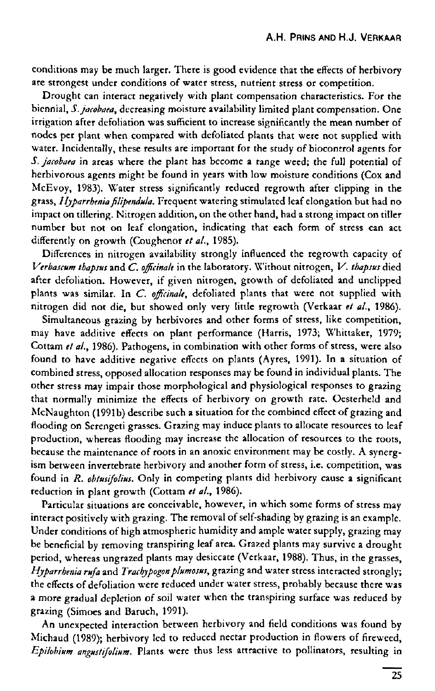conditions may be much larger. There is good evidence that the effects of herbivory are strongest under conditions of water stress, nutrient stress or competition.

Drought can interact negatively with plant compensation characteristics. For the biennial, *S.jacobaea,* decreasing moisture availability limited plant compensation. One irrigation after defoliation was sufficient to increase significantly the mean number of nodes per plant when compared with defoliated plants that were not supplied with water. Incidentally, these results are important for the study of biocontrol agents for *S.jacobaea* in areas where the plant has become a range weed; the full potential of herbivorous agents might be found in years with low moisture conditions (Cox and McEvoy, 1983). Water stress significantly reduced regrowth after clipping in the grass, *I Ijparrhenia filipendula.* Frequent watering stimulated leaf elongation but had no impact on tillering. Nitrogen addition, on the other hand, had a strong impact on tiller number but not on leaf elongation, indicating that each form of stress can act differently on growth (Coughenor *et al.,* 1985).

Differences in nitrogen availability strongly influenced the regrowth capacity of *Verbascum thapsus* and *C. officinale* in the laboratory. \X'ithout nitrogen, *V. thapsus* died after defoliation. However, if given nitrogen, growth of defoliated and undipped plants was similar. In *C. officinale,* defoliated plants that were not supplied with nitrogen did not die, but showed only very little regrowth (Verkaar *et al.,* 1986).

Simultaneous grazing by herbivores and other forms of stress, like competition, may have additive effects on plant performance (Harris, 1973; Whittaker, 1979; Cottam *et al.,* 1986). Pathogens, in combination with other forms of stress, were also found to have additive negative effects on plants (Ayres, 1991). In a situation of combined stress, opposed allocation responses may be found in individual plants. The other stress may impair those morphological and physiological responses to grazing that normally minimize the effects of herbivory on growth rate. Oesterheid and McNaughton (1991b) describe such a situation for the combined effect of grazing and flooding on Serengeti grasses. Grazing may induce plants to allocate resources to leaf production, whereas flooding may increase the allocation of resources to the roots, because the maintenance of roots in an anoxic environment may be costly. A synergism between invertebrate herbivory and another form of stress, i.e. competition, was found in *R. obtusifolius.* Only in competing plants did herbivory cause a significant reduction in plant growth (Cottam *et al.,* 1986).

Particular situations are conceivable, however, in which some forms of stress may interact positively with grazing. The removal of self-shading by grazing is an example. Under conditions of high atmospheric humidity and ample water supply, grazing may be beneficial by removing transpiring leaf area. Grazed plants may survive a drought period, whereas ungrazed plants may desiccate (Verkaar, 1988). Thus, in the grasses, *Hjparrbenia ruja* and *Trachjpogonplumosus,* grazing and water stress interacted strongly; the effects of defoliation were reduced under water stress, probably because there was a more gradual depletion of soil water when the transpiring surface was reduced by grazing (Simoes and Baruch, 1991).

An unexpected interaction between herbivory and field conditions was found by Michaud (1989); herbivory led to reduced nectar production in flowers of fireweed, *Epilobium angustifol'wm.* Plants were thus less attractive to pollinators, resulting in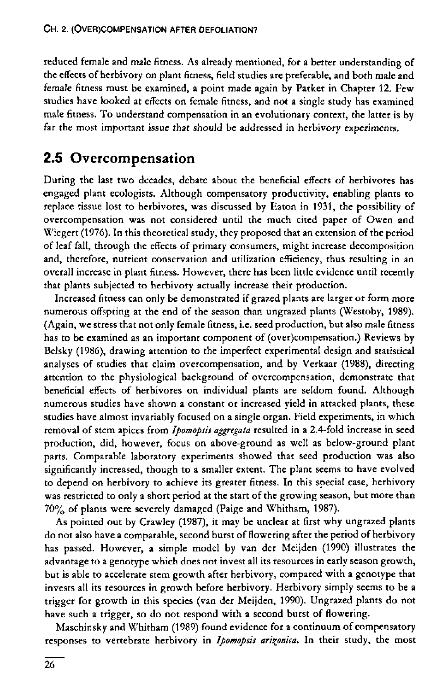reduced female and male fitness. As already mentioned, for a better understanding of the effects of herbivory on plant fitness, field studies are preferable, and both male and female fitness must be examined, a point made again by Parker in Chapter 12. Few studies have looked at effects on female fitness, and not a single study has examined male fitness. To understand compensation in an evolutionary context, the latter is by far the most important issue that should be addressed in herbivory experiments.

## 2.5 Overcompensation

During the last two decades, debate about the beneficial effects of herbivores has engaged plant ecologists. Although compensatory productivity, enabling plants to replace tissue lost to herbivores, was discussed by Eaton in 1931, the possibility of overcompensation was not considered until the much cited paper of Owen and Wiegert (1976). In this theoretical study, they proposed that an extension of the period of leaf fall, through the effects of primary consumers, might increase decomposition and, therefore, nutrient conservation and utilization efficiency, thus resulting in an overall increase in plant fitness. However, there has been little evidence until recently that plants subjected to herbivory actually increase their production.

Increased fitness can only be demonstrated if grazed plants are larger or form more numerous offspring at the end of the season than ungrazed plants (Westoby, 1989). (Again, we stress that not only female fitness, i.e. seed production, but also male fitness has to be examined as an important component of (over)compensation.) Reviews by Belsky (1986), drawing attention to the imperfect experimental design and statistical analyses of studies that claim overcompensation, and by Verkaar (1988), directing attention to the physiological background of overcompensation, demonstrate that beneficial effects of herbivores on individual plants are seldom found. Although numerous studies have shown a constant or increased yield in attacked plants, these studies have almost invariably focused on a single organ. Field experiments, in which removal of stem apices from *Ipomopsis aggregata* resulted in a 2.4-fold increase in seed production, did, however, focus on above-ground as well as below-ground plant parts. Comparable laboratory experiments showed that seed production was also significantly increased, though to a smaller extent. The plant seems to have evolved to depend on herbivory to achieve its greater fitness. In this special case, herbivory was restricted to only a short period at the start of the growing season, but more than 7 0% of plants were severely damaged (Paige and Whitham, 1987).

As pointed out by Crawley (1987), it may be unclear at first why ungrazed plants do not also have a comparable, second burst of flowering after the period of herbivory has passed. However, a simple model by van der Meijden (1990) illustrates the advantage to a genotype which does not invest all its resources in early season growth, but is able to accelerate stem growth after herbivory, compared with a genotype that invests all its resources in growth before herbivory. Herbivory simply seems to be a trigger for growth in this species (van der Meijden, 1990). Ungrazed plants do not have such a trigger, so do not respond with a second burst of flowering.

Maschinsky and Whitham (1989) found evidence for a continuum of compensatory responses to vertebrate herbivory in Ipomopsis arizonica. In their study, the most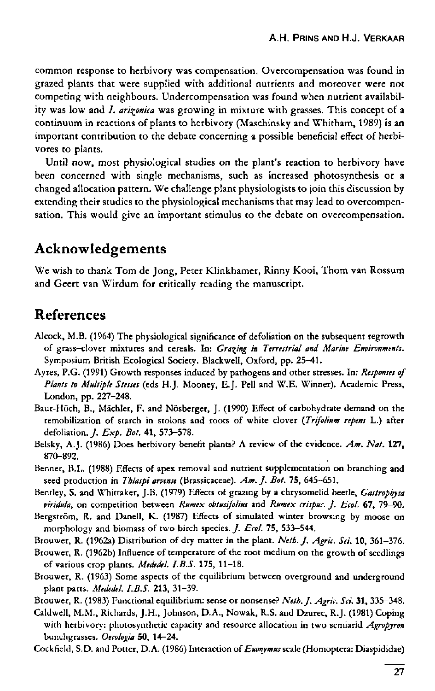common response to herbivory was compensation. Overcompensation was found in grazed plants that were supplied with additional nutrients and moreover were not competing with neighbours. Undercompensation was found when nutrient availability was low and *I. arizonica* was growing in mixture with grasses. This concept of a continuum in reactions of plants to herbivory (Maschinsky and Whitham, 1989) is an important contribution to the debate concerning a possible beneficial effect of herbivores to plants.

Until now, most physiological studies on the plant's reaction to herbivory have been concerned with single mechanisms, such as increased photosynthesis or a changed allocation pattern. We challenge plant physiologists to join this discussion by extending their studies to the physiological mechanisms that may lead to overcompensation. This would give an important stimulus to the debate on overcompensation.

## Acknowledgements

We wish to thank Tom de Jong, Peter Klinkhamer, Rinny Kooi, Thom van Rossum and Geert van Wirdum for critically reading the manuscript.

## References

- Alcock, M.B. (1964) The physiological significance of defoliation on the subsequent regrowth of grass-clover mixtures and cereals. In: *Gracing in Terrestrial and Marine Environments.*  Symposium British Ecological Society. Blackwell, Oxford, pp. 25—41.
- Ayres, P.G. (1991) Growth responses induced by pathogens and other stresses. In: *Responses of Plants to Multiple Stesses* (eds H.J. Mooney, E.J. Pell and W.E. Winner). Academic Press, London, pp. 227-248.
- Baur-Höch, B., Mächler, F. and Nösberger, J. (1990) Effect of carbohydrate demand on the remobilization of starch in stolons and roots of white clover *{Trifolium repens* L.) after defoliation. *J. Exp. Bot.* 41, 573-578.
- Belsky, A.J. (1986) Does herbivory benefit plants? A review of the evidence. *Am. Nat.* **127,**  870-892.
- Benner, B.L. (1988) Effects of apex removal and nutrient supplementation on branching and seed production in *Tblaspi arvense* (Brassicaceae). *Am.]. Bot.* **75,** 645-651.
- Bentley, S. and Whittaker, J.B. (1979) Effects of grazing by a chrysomelid beetle, *Gastrophysa viridula,* on competition between *Rumex obtusijolius* and *Rumex crispus. J. Ecol.* 67, 79-90.
- Bergström, R. and Danell, K. (1987) Effects of simulated winter browsing by moose on morphology and biomass of two birch species. / . *Ecol.* **75,** 533-544.

Brouwer, R. (1962a) Distribution of dry matter in the plant. *Netb. J. Agric. Sei.* 10, 361-376.

- Brouwer, R. (1962b) Influence of temperature of the root medium on the growth of seedlings of various crop plants. *Mededel. LBS.* **175,** 11-18.
- Brouwer, R. (1963) Some aspects of the equilibrium between overground and underground plant parts. *Mededel. LBS.* **213,** 31-39.
- Brouwer, R. (1983) Functional equilibrium: sense or nonsense? *Netb. J. Agric. Sei.* **31,** 335-348.
- Caldwell, M.M., Richards, J.H., Johnson, D.A., Nowak, R.S. and Dzurec, R.J. (1981) Coping with herbivory: photosynthetic capacity and resource allocation in two semiarid *Agropyron*  bunchgrasses. *Oecologia* 50, 14-24.

Cockfield, S.D. and Potter, D.A. (1986) Interaction of *Euonymus* scale (Homoptera: Diaspididae)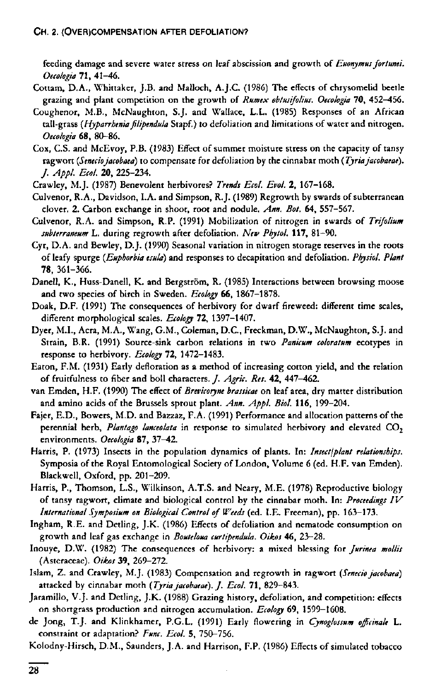feeding damage and severe water stress on leaf abscission and growth of *Euonymus fortunei. Oecologia* **71,** 41-46.

- Cottam, D.A., Whittaker, J.B. and Malloch, A.J.C. (1986) The effects of chrysomelid beetle grazing and plant competition on the growth of *Rumex obtusifolius. Oecologia* 70, 452-456.
- Coughenor, M.B., McNaughton, S.J. and Wallace, L.L. (1985) Responses of an African tall-grass *{Hyparrhenia filipendula* Stapf.) to defoliation and limitations of water and nitrogen. *Oecologia* 68, 80-86.
- Cox, CS . and McEvoy, P.B. (1983) Effect of summer moisture stress on the capacity of tansy ragwort *{Seneciojacobaea)* to compensate for defoliation by the cinnabar moth *{Tyriajacobaeae). J. Appl. Eco/.* 20, 225-234.
- Crawley, M.J. (1987) Benevolent herbivores? *Trends Ecol. Evol.* 2, 167-168.
- Culvenor, R.A., Davidson, I.A. and Simpson, R.J. (1989) Regrowth by swards of subterranean clover. 2. Carbon exchange in shoot, root and nodule. *Ann. Bot.* 64, 557-567.
- Culvenor, R.A. and Simpson, R.P. (1991) Mobilization of nitrogen in swards of *Trifolium subterraneum L.* during regrowth after defoliation. *New Phytol.* **117,** 81-90.
- Cyr, D.A. and Bewley, D.J. (1990) Seasonal variation in nitrogen storage reserves in the roots of leafy spurge *{Euphorbia esula)* and responses to decapitation and defoliation. *Physiol. Plant*  78, 361-366.
- Danell, K., Huss-Danell, K. and Bergström, R. (1985) Interactions between browsing moose and two species of birch in Sweden. *Ecology* **66,** 1867-1878.
- Doak, D.F. (1991) The consequences of herbivory for dwarf fireweed: different time scales, different morphological scales. *Ecology* 72, 1397-1407.
- Dyer, M.I., Acra, M.A., Wang, G.M., Coleman, D.C., Freckman, D.W., McNaughton, S.J. and Strain, B.R. (1991) Source-sink carbon relations in two *Panicum coloratum* ecotypes in response to herbivory. *Ecology* 72, 1472-1483.
- Eaton, F.M. (1931) Early defloration as a method of increasing cotton yield, and the relation of fruitfulness to fiber and boll characters, *]. Agric. Res.* 42, 447—462.
- van Emden, H.F. (1990) The effect of *Brevicoryne brassicae* on leaf area, dry matter distribution and amino acids of the Brussels sprout plant. *Ann. Appl. Biol.* **116,** 199-204.
- Fajer, E.D., Bowers, M.D. and Bazzaz, F.A. (1991) Performance and allocation patterns of the perennial herb, Plantago lanceolata in response to simulated herbivory and elevated CO<sub>2</sub> environments. *Oecologia* 87, 37-42.
- Harris, P. (1973) Insects in the population dynamics of plants. In: *Insect/plant relationships.*  Symposia of the Royal Entomological Society of London, Volume 6 (ed. H.F. van Emden). Blackwell, Oxford, pp. 201-209.
- Harris, P., Thomson, L.S., Wilkinson, A.T.S. and Neary, M.E. (1978) Reproductive biology of tansy ragwort, climate and biological control by the cinnabar moth. In: *Proceedings IV International Symposium on Biological Control of Weeds* (ed. I.E. Freeman), pp. 163-173.
- Ingham, R.E. and Detling, J.K. (1986) Effects of defoliation and nematode consumption on growth and leaf gas exchange in *Bouteloua curtipendula. Oikos* 46, 23-28.
- Inouye, D.W. (1982) The consequences of herbivory: a mixed blessing for *furinea mollis*  (Asteraceae). *Oikos* 39, 269-272.
- Islam, Z. and Crawley, M.J. (1983) Compensation and regrowth in ragwort *{Seneciojacobaea)*  attacked by cinnabar moth *{Tyriajacobaeae). J. Ecol.* **71,** 829-843.
- Jaramillo, V.J. and Detling, J.K. (1988) Grazing history, defoliation, and competition: effects on shortgrass production and nitrogen accumulation. *Ecology* 69, 1599-1608.
- de Jong, T.J. and Klinkhamer, P.G.L. (1991) Early flowering in *Cynoglossum officinale* L. constraint or adaptation? *Func. Ecol.* 5, 750-756.
- Kolodny-Hirsch, D.M., Saunders, J. A. and Harrison, F.P. (1986) Effects of simulated tobacco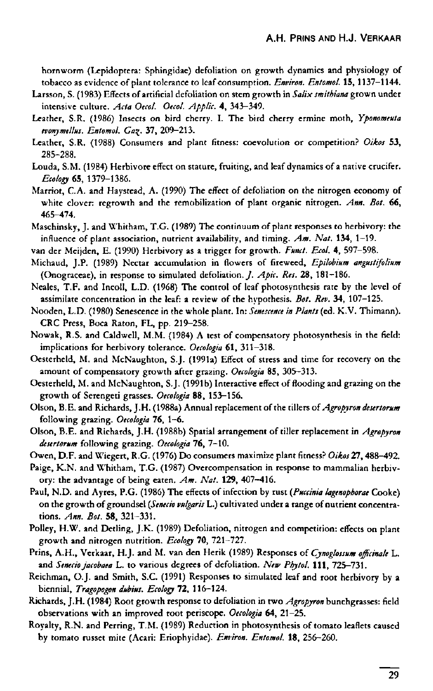hornworm (Lepidoptera: Sphingidae) defoliation on growth dynamics and physiology of tobacco as evidence of plant tolerance to leaf consumption. *Environ. Entomol.* 15, 1137-1144.

- Larsson, S. (1983) Effects of artificial defoliation on stem growth in *Salix smithiana* grown under intensive culture. *Acta Oecol. Oecol. Applic.* 4, 343-349.
- Leather, S.R. (1986) Insects on bird cherry. I. The bird cherry ermine moth, *Yponomeuta evonymelius. Entomol. Gas^.* 37, 209-213.
- Leather, S.R. (1988) Consumers and plant fitness: coevolution or competition? *Oikos* 53, 285-288.
- Louda, S.M. (1984) Herbivore effect on stature, fruiting, and leaf dynamics of a native crucifer. *Ecology* 65, 1379-1386.
- Marriot, C.A. and Haystead, A. (1990) The effect of defoliation on the nitrogen economy of white clover: regrowth and the remobilization of plant organic nitrogen. *Ann. Bot.* 66, 465-474.
- Maschinsky, J. and Whitham, T.G. (1989) The continuum of plant responses to herbivory: the influence of plant association, nutrient availability, and timing. *Am. Nat.* **134,** 1-19.
- van der Meijden, E. (1990) Herbivory as a trigger for growth. *Fund. Ecol.* 4, 597-598.
- Michaud, J.P. (1989) Nectar accumulation in flowers of fireweed, *Epilobium angustifolium*  (Onograceae), in response to simulated defoliation./. *Apic. Res.* 28, 181-186.
- Neales, T.F. and Incoll, L.D. (1968) The control of leaf photosynthesis rate by the level of assimilate concentration in the leaf: a review of the hypothesis. *Bot. Rev.* **34,** 107-125.
- Nooden, L.D. (1980) Senescence in the whole plant. In: *Senescence in Plants* (ed. K.V. Thimann). CRC Press, Boca Raton, FL, pp. 219-258.
- Nowak, R.S. and Caldwell, M.M. (1984) A test of compensatory photosynthesis in the field: implications for herbivory tolerance. *Oecologia* 61, 311-318.
- Oesterheld, M. and McNaughton, S.J. (1991a) Effect of stress and time for recovery on the amount of compensatory growth after grazing. *Oecologia* 85, 305-313.
- Oesterheld, M. and McNaughton, S.J. (1991b) Interactive effect of flooding and grazing on the growth of Serengeti grasses. *Oecologia* 88, 153-156.
- Olson, B.E. and Richards, J.H. (1988a) Annual replacement of the tillers of*Agropyron desertorum*  following grazing. *Oecologia* 76, 1-6.
- Olson, B.E. and Richards, J.H. (1988b) Spatial arrangement of tiller replacement in *Agropyron desertorum* following grazing. *Oecologia* 76, 7-10.
- Owen, D.F. and Wiegert, R.G. (1976) Do consumers maximize plant fitness? *Oikos 21,*488-492.
- Paige, K.N. and Whitham, T.G. (1987) Overcompensation in response to mammalian herbivory: the advantage of being eaten. *Am. Nat.* **129,** 407-416.
- Paul, N.D. and Ayres, P.G. (1986) The effects of infection by rust *(Puccinia lagenophorat* Cooke) on the growth of groundsel *(Senecio vulgaris* L.) cultivated under a range of nutrient concentrations. *Ann. Bot.* 58, 321-331.
- Polley, H.W. and Detling, J.K. (1989) Defoliation, nitrogen and competition: effects on plant growth and nitrogen nutrition. *Ecology* 70, 721-727.
- Prins, A.H., Verkaar, H.J. and M. van den Herik (1989) Responses of *Cynoglossum officinale* L. and *Senecio jacobaea* L. to various degrees of defoliation. *New Pbytol.* **Ill ,** 725-731.
- Reichman, O.J. and Smith, S.C. (1991) Responses to simulated leaf and root herbivory by a biennial, *Tragopogon dubius. Ecology* 72, 116-124.
- Richards, J.H. (1984) Root growth response to defoliation in two *Agropyron* bunchgrasses: field observations with an improved root periscope. *Oecologia* 64, 21-25.
- Royalty, R.N. and Perring, T.M. (1989) Reduction in photosynthesis of tomato leaflets caused by tomato russet mite (Acari: Eriophyidae). *Environ. Entomol.* 18, 256-260.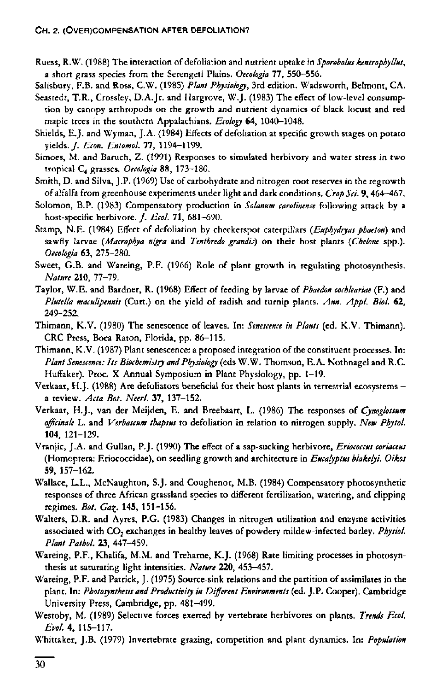Ruess, R.W. (1988) The interaction of defoliation and nutrient uptake in *Sporobolus kentrophyllus,*  a short grass species from the Serengeti Plains. *Oecologia* 77, 550-556.

Salisbury, F.B. and Ross, C.W. (1985) *Plant Physiology,* 3rd edition. Wadsworth, Belmont, CA.

- Seastedt, T.R., Crossley, D.A.Jr. and Hargrove, W.J. (1983) The effect of low-level consumption by canopy arthropods on the growth and nutrient dynamics of black locust and red maple trees in the southern Appalachians. *Ecology* 64, 1040-1048.
- Shields, E.J. and Wyman, J.A. (1984) Effects of defoliation at specific growth stages on potato yields./. *Econ. Entomol.* 77, 1194-1199.
- Simoes, M. and Baruch, Z. (1991) Responses to simulated herbivory and water stress in two tropical C4 grasses. *Oecologia* 88, 173-180.
- Smith, D. and Silva, J.P. (1969) Use of carbohydrate and nitrogen root reserves in the regrowth of alfalfa from greenhouse experiments under light and dark conditions. *Crop Sei.* 9, 464-467.
- Solomon, B.P. (1983) Compensatory production in *Solanum carolimnse* following attack by a host-specific herbivore. *J. Ecol.* 71, 681-690.
- Stamp, N.E. (1984) Effect of defoliation by checkerspot caterpillars *(Euphydryas phaeton)* and sawfly larvae *(Macrophya nigra* and *Tenthredo grandis)* on their host plants *(Chelone* spp.). *Oecologia* 63, 275-280.
- Sweet, G.B. and Wareing, P.P. (1966) Role of plant growth in regulating photosynthesis. *Nature* **210,** 77-79.
- Taylor, W.E. and Bardner, R. (1968) Effect of feeding by larvae of *Phaedon cochleariae* (F.) and *Plutella maculipennis* (Curt.) on the yield of radish and turnip plants. *Ann. Appl. Biol.* 62, 249-252.
- Thimann, K.V. (1980) The senescence of leaves. In: *Senescence in Plants* (ed. K.V. Thimann). CRC Press, Boca Raton, Florida, pp. 86-115.
- Thimann, K.V. (1987) Plant senescence: a proposed integration of the constituent processes. In: *Plant Senescence: Its Biochemistry and Physiology* (eds W.W. Thomson, E. A. Nothnagel and R.C. Huffaker). Proc. X Annual Symposium in Plant Physiology, pp. 1-19.
- Verkaar, H.J. (1988) Are defoliators beneficial for their host plants in terrestrial ecosystems a review. *Acta Bot. Neerl.* 37, 137-152.
- Verkaar, H.J., van der Meijden, E. and Breebaart, L. (1986) The responses of *Cynoglossum officinale* L. and *Verbascum thapsus* to defoliation in relation to nitrogen supply. *New Phytol.*  **104,** 121-129.
- Vranjic, J.A. and Gullan, P.J. (1990) The effect of a sap-sucking herbivore, *Eriococcus coriaceus*  (Homoptera: Eriococcidae), on seedling growth and architecture in *Eucalyptus blakelyi. Oikos*  59, 157-162.
- Wallace, L.L., McNaughton, S.J. and Coughenor, M.B. (1984) Compensatory photosynthetic responses of three African grassland species to different fertilization, watering, and clipping regimes. *Bot. Ga\.* **145,** 151-156.
- Walters, D.R. and Ayres, P.G. (1983) Changes in nitrogen utilization and enzyme activities associated with CO<sub>2</sub> exchanges in healthy leaves of powdery mildew-infected barley. Physiol. *Plant Pathol.* 23, 447-459.
- Wareing, P.F., Khalifa, M.M. and Treharne, K.J. (1968) Rate limiting processes in photosynthesis at saturating light intensities. *Nature* **220,** 453-457.
- Wareing, P.F. and Patrick, J. (1975) Source-sink relations and the partition of assimilates in the plant. In: *Photosynthesis and Productivity in Different Environments* (ed. J.P. Cooper). Cambridge University Press, Cambridge, pp. 481-499.
- Westoby, M. (1989) Selective forces exerted by vertebrate herbivores on plants. *Trends Ecol. Evol.* 4, 115-117.

Whittaker, J.B. (1979) Invertebrate grazing, competition and plant dynamics. In: *Population*